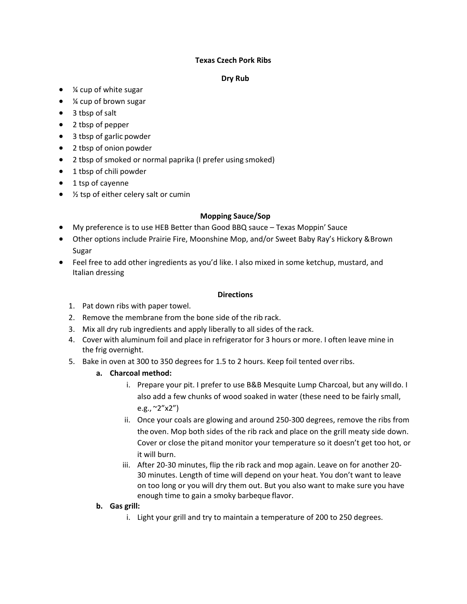### **Texas Czech Pork Ribs**

#### **Dry Rub**

- ¼ cup of white sugar
- ¼ cup of brown sugar
- 3 tbsp of salt
- 2 tbsp of pepper
- 3 tbsp of garlic powder
- 2 tbsp of onion powder
- 2 tbsp of smoked or normal paprika (I prefer using smoked)
- 1 tbsp of chili powder
- 1 tsp of cayenne
- $\frac{1}{2}$  tsp of either celery salt or cumin

### **Mopping Sauce/Sop**

- My preference is to use HEB Better than Good BBQ sauce Texas Moppin' Sauce
- Other options include Prairie Fire, Moonshine Mop, and/or Sweet Baby Ray's Hickory &Brown Sugar
- Feel free to add other ingredients as you'd like. I also mixed in some ketchup, mustard, and Italian dressing

#### **Directions**

- 1. Pat down ribs with paper towel.
- 2. Remove the membrane from the bone side of the rib rack.
- 3. Mix all dry rub ingredients and apply liberally to all sides of the rack.
- 4. Cover with aluminum foil and place in refrigerator for 3 hours or more. I often leave mine in the frig overnight.
- 5. Bake in oven at 300 to 350 degrees for 1.5 to 2 hours. Keep foil tented overribs.

# **a. Charcoal method:**

- i. Prepare your pit. I prefer to use B&B Mesquite Lump Charcoal, but any willdo. I also add a few chunks of wood soaked in water (these need to be fairly small, e.g., ~2"x2")
- ii. Once your coals are glowing and around 250-300 degrees, remove the ribs from the oven. Mop both sides of the rib rack and place on the grill meaty side down. Cover or close the pitand monitor your temperature so it doesn't get too hot, or it will burn.
- iii. After 20-30 minutes, flip the rib rack and mop again. Leave on for another 20- 30 minutes. Length of time will depend on your heat. You don't want to leave on too long or you will dry them out. But you also want to make sure you have enough time to gain a smoky barbeque flavor.

# **b. Gas grill:**

i. Light your grill and try to maintain a temperature of 200 to 250 degrees.